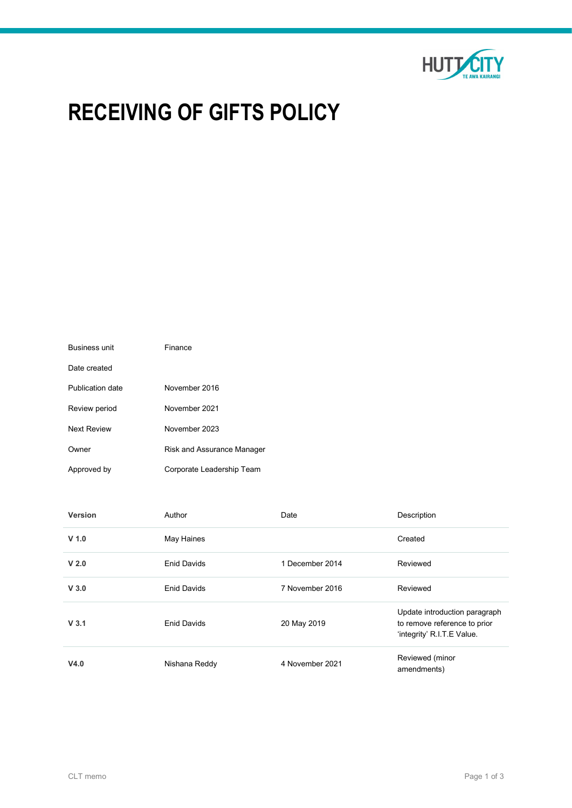

# RECEIVING OF GIFTS POLICY

| <b>Business unit</b> | Finance                    |
|----------------------|----------------------------|
| Date created         |                            |
| Publication date     | November 2016              |
| Review period        | November 2021              |
| <b>Next Review</b>   | November 2023              |
| Owner                | Risk and Assurance Manager |
| Approved by          | Corporate Leadership Team  |

| Version          | Author             | Date            | Description                                                                                 |  |
|------------------|--------------------|-----------------|---------------------------------------------------------------------------------------------|--|
| $V$ 1.0          | May Haines         |                 | Created                                                                                     |  |
| V <sub>2.0</sub> | <b>Enid Davids</b> | 1 December 2014 | Reviewed                                                                                    |  |
| V <sub>3.0</sub> | <b>Enid Davids</b> | 7 November 2016 | Reviewed                                                                                    |  |
| V <sub>3.1</sub> | <b>Enid Davids</b> | 20 May 2019     | Update introduction paragraph<br>to remove reference to prior<br>'integrity' R.I.T.E Value. |  |
| V4.0             | Nishana Reddy      | 4 November 2021 | Reviewed (minor<br>amendments)                                                              |  |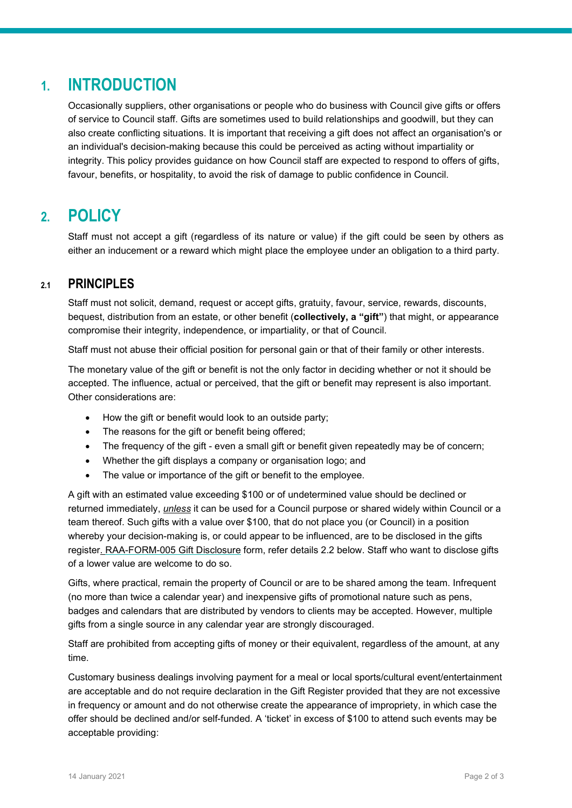## 1. INTRODUCTION

Occasionally suppliers, other organisations or people who do business with Council give gifts or offers of service to Council staff. Gifts are sometimes used to build relationships and goodwill, but they can also create conflicting situations. It is important that receiving a gift does not affect an organisation's or an individual's decision-making because this could be perceived as acting without impartiality or integrity. This policy provides guidance on how Council staff are expected to respond to offers of gifts, favour, benefits, or hospitality, to avoid the risk of damage to public confidence in Council.

## 2. POLICY

Staff must not accept a gift (regardless of its nature or value) if the gift could be seen by others as either an inducement or a reward which might place the employee under an obligation to a third party.

### 2.1 PRINCIPLES

Staff must not solicit, demand, request or accept gifts, gratuity, favour, service, rewards, discounts, bequest, distribution from an estate, or other benefit (collectively, a "gift") that might, or appearance compromise their integrity, independence, or impartiality, or that of Council.

Staff must not abuse their official position for personal gain or that of their family or other interests.

The monetary value of the gift or benefit is not the only factor in deciding whether or not it should be accepted. The influence, actual or perceived, that the gift or benefit may represent is also important. Other considerations are:

- How the gift or benefit would look to an outside party;
- The reasons for the gift or benefit being offered;
- The frequency of the gift even a small gift or benefit given repeatedly may be of concern;
- Whether the gift displays a company or organisation logo; and
- The value or importance of the gift or benefit to the employee.

A gift with an estimated value exceeding \$100 or of undetermined value should be declined or returned immediately, *unless* it can be used for a Council purpose or shared widely within Council or a team thereof. Such gifts with a value over \$100, that do not place you (or Council) in a position whereby your decision-making is, or could appear to be influenced, are to be disclosed in the gifts register. RAA-FORM-005 Gift Disclosure form, refer details 2.2 below. Staff who want to disclose gifts of a lower value are welcome to do so.

Gifts, where practical, remain the property of Council or are to be shared among the team. Infrequent (no more than twice a calendar year) and inexpensive gifts of promotional nature such as pens, badges and calendars that are distributed by vendors to clients may be accepted. However, multiple gifts from a single source in any calendar year are strongly discouraged.

Staff are prohibited from accepting gifts of money or their equivalent, regardless of the amount, at any time.

Customary business dealings involving payment for a meal or local sports/cultural event/entertainment are acceptable and do not require declaration in the Gift Register provided that they are not excessive in frequency or amount and do not otherwise create the appearance of impropriety, in which case the offer should be declined and/or self-funded. A 'ticket' in excess of \$100 to attend such events may be acceptable providing: